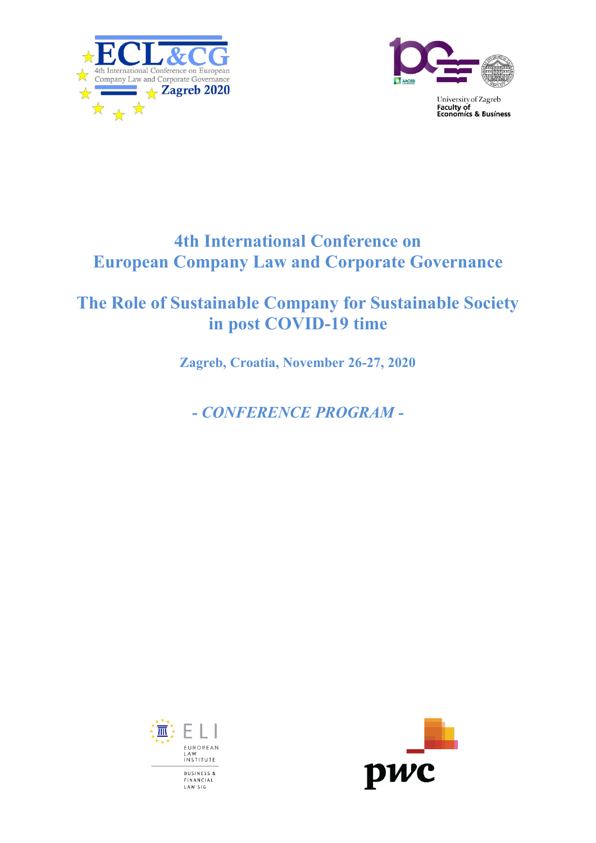



University of Zagreb **EXECUTE:**<br>Faculty of<br>Economics & Business

## **4th International Conference on European Company Law and Corporate Governance**

## **The Role of Sustainable Company for Sustainable Society in post COVID-19 time**

**Zagreb, Croatia, November 26-27, 2020**

*- CONFERENCE PROGRAM -*



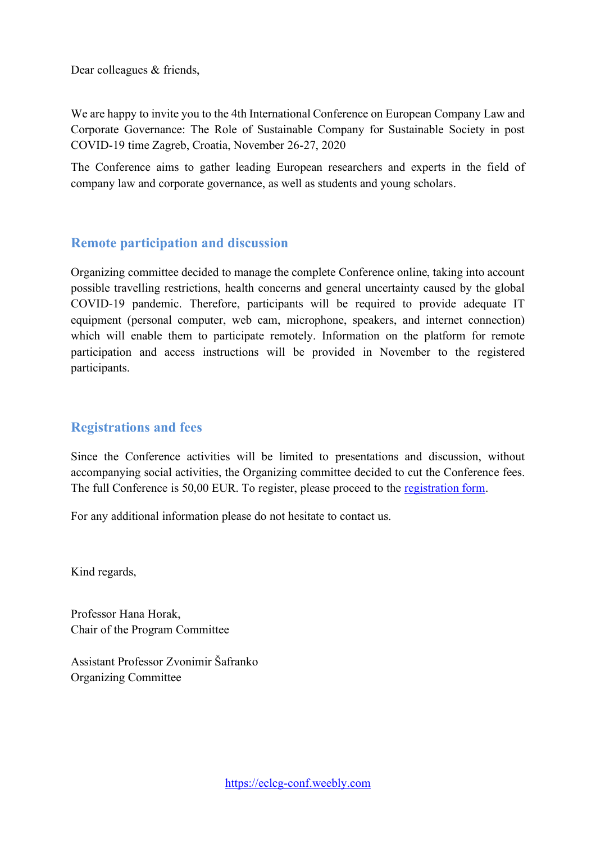Dear colleagues & friends,

We are happy to invite you to the 4th International Conference on European Company Law and Corporate Governance: The Role of Sustainable Company for Sustainable Society in post COVID-19 time Zagreb, Croatia, November 26-27, 2020

The Conference aims to gather leading European researchers and experts in the field of company law and corporate governance, as well as students and young scholars.

## **Remote participation and discussion**

Organizing committee decided to manage the complete Conference online, taking into account possible travelling restrictions, health concerns and general uncertainty caused by the global COVID-19 pandemic. Therefore, participants will be required to provide adequate IT equipment (personal computer, web cam, microphone, speakers, and internet connection) which will enable them to participate remotely. Information on the platform for remote participation and access instructions will be provided in November to the registered participants.

## **Registrations and fees**

Since the Conference activities will be limited to presentations and discussion, without accompanying social activities, the Organizing committee decided to cut the Conference fees. The full Conference is 50,00 EUR. To register, please proceed to the [registration form.](https://eclcg-conf.weebly.com/registration.html)

For any additional information please do not hesitate to contact us.

Kind regards,

Professor Hana Horak, Chair of the Program Committee

Assistant Professor Zvonimir Šafranko Organizing Committee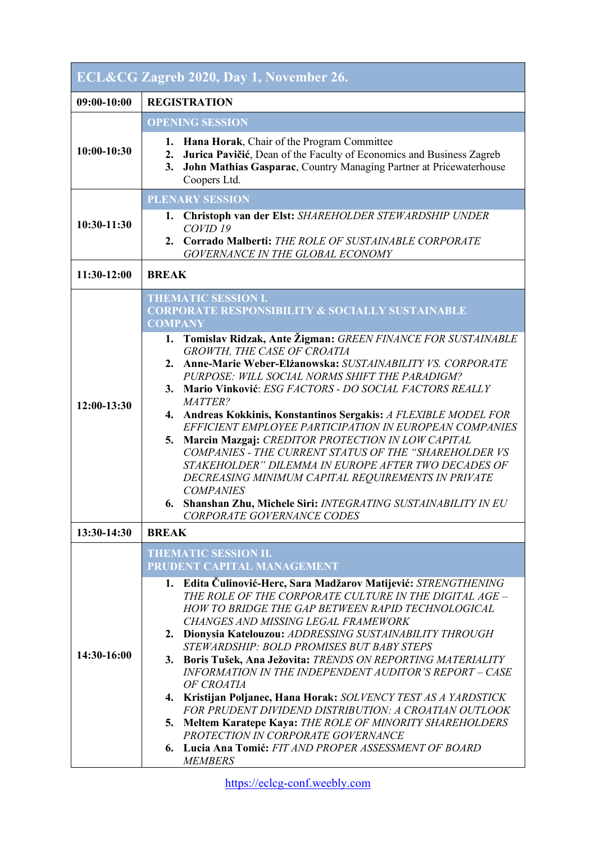| ECL&CG Zagreb 2020, Day 1, November 26. |                                                                                                                                                                                                                                                                                                                                                                                                                                                                                                                                                                                                                                                                                                                                                                                                                                                                                           |  |
|-----------------------------------------|-------------------------------------------------------------------------------------------------------------------------------------------------------------------------------------------------------------------------------------------------------------------------------------------------------------------------------------------------------------------------------------------------------------------------------------------------------------------------------------------------------------------------------------------------------------------------------------------------------------------------------------------------------------------------------------------------------------------------------------------------------------------------------------------------------------------------------------------------------------------------------------------|--|
| 09:00-10:00                             | <b>REGISTRATION</b>                                                                                                                                                                                                                                                                                                                                                                                                                                                                                                                                                                                                                                                                                                                                                                                                                                                                       |  |
| $10:00-10:30$                           | <b>OPENING SESSION</b><br>Hana Horak, Chair of the Program Committee<br>1.<br>Jurica Pavičić, Dean of the Faculty of Economics and Business Zagreb<br>2.<br>John Mathias Gasparac, Country Managing Partner at Pricewaterhouse<br>3.<br>Coopers Ltd.                                                                                                                                                                                                                                                                                                                                                                                                                                                                                                                                                                                                                                      |  |
| 10:30-11:30                             | <b>PLENARY SESSION</b><br>Christoph van der Elst: SHAREHOLDER STEWARDSHIP UNDER<br>1.<br>COVID <sub>19</sub><br>2. Corrado Malberti: THE ROLE OF SUSTAINABLE CORPORATE<br>GOVERNANCE IN THE GLOBAL ECONOMY                                                                                                                                                                                                                                                                                                                                                                                                                                                                                                                                                                                                                                                                                |  |
| 11:30-12:00                             | <b>BREAK</b>                                                                                                                                                                                                                                                                                                                                                                                                                                                                                                                                                                                                                                                                                                                                                                                                                                                                              |  |
| 12:00-13:30                             | <b>THEMATIC SESSION I.</b><br><b>CORPORATE RESPONSIBILITY &amp; SOCIALLY SUSTAINABLE</b><br><b>COMPANY</b><br>1. Tomislav Ridzak, Ante Žigman: GREEN FINANCE FOR SUSTAINABLE<br>GROWTH, THE CASE OF CROATIA<br>2. Anne-Marie Weber-Elżanowska: SUSTAINABILITY VS. CORPORATE<br>PURPOSE: WILL SOCIAL NORMS SHIFT THE PARADIGM?<br>3. Mario Vinković: ESG FACTORS - DO SOCIAL FACTORS REALLY<br>MATTER?<br>4. Andreas Kokkinis, Konstantinos Sergakis: A FLEXIBLE MODEL FOR<br>EFFICIENT EMPLOYEE PARTICIPATION IN EUROPEAN COMPANIES<br>Marcin Mazgaj: CREDITOR PROTECTION IN LOW CAPITAL<br>5.<br>COMPANIES - THE CURRENT STATUS OF THE "SHAREHOLDER VS<br>STAKEHOLDER" DILEMMA IN EUROPE AFTER TWO DECADES OF<br>DECREASING MINIMUM CAPITAL REQUIREMENTS IN PRIVATE<br><b>COMPANIES</b><br>6. Shanshan Zhu, Michele Siri: INTEGRATING SUSTAINABILITY IN EU<br>CORPORATE GOVERNANCE CODES |  |
| 13:30-14:30                             | <b>BREAK</b>                                                                                                                                                                                                                                                                                                                                                                                                                                                                                                                                                                                                                                                                                                                                                                                                                                                                              |  |
| 14:30-16:00                             | <b>THEMATIC SESSION II.</b><br>PRUDENT CAPITAL MANAGEMENT<br>1. Edita Čulinović-Herc, Sara Madžarov Matijević: STRENGTHENING<br>THE ROLE OF THE CORPORATE CULTURE IN THE DIGITAL AGE -<br>HOW TO BRIDGE THE GAP BETWEEN RAPID TECHNOLOGICAL<br>CHANGES AND MISSING LEGAL FRAMEWORK<br>2. Dionysia Katelouzou: ADDRESSING SUSTAINABILITY THROUGH<br>STEWARDSHIP: BOLD PROMISES BUT BABY STEPS<br>3. Boris Tušek, Ana Ježovita: TRENDS ON REPORTING MATERIALITY<br>INFORMATION IN THE INDEPENDENT AUDITOR'S REPORT - CASE<br>OF CROATIA<br>4. Kristijan Poljanec, Hana Horak: SOLVENCY TEST AS A YARDSTICK<br>FOR PRUDENT DIVIDEND DISTRIBUTION: A CROATIAN OUTLOOK<br>5. Meltem Karatepe Kaya: THE ROLE OF MINORITY SHAREHOLDERS<br>PROTECTION IN CORPORATE GOVERNANCE<br>Lucia Ana Tomić: FIT AND PROPER ASSESSMENT OF BOARD<br>6.<br><b>MEMBERS</b>                                      |  |